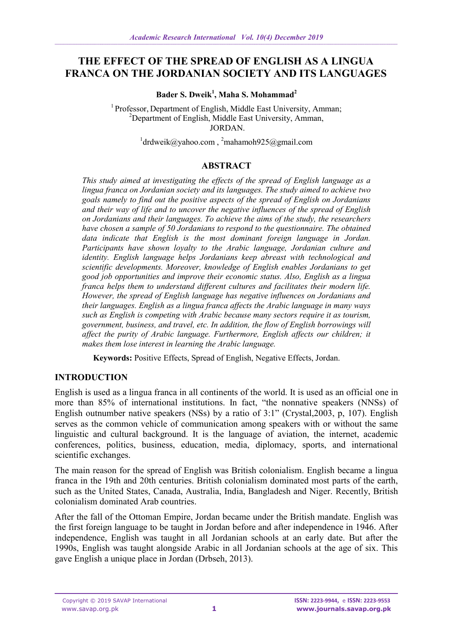# **THE EFFECT OF THE SPREAD OF ENGLISH AS A LINGUA FRANCA ON THE JORDANIAN SOCIETY AND ITS LANGUAGES**

## **Bader S. Dweik<sup>1</sup> , Maha S. Mohammad<sup>2</sup>**

<sup>1</sup> Professor, Department of English, Middle East University, Amman;  $2D$ epartment of English, Middle East University, Amman, JORDAN.

 $1$ [drdweik@yahoo.com](mailto:1drdweik@yahoo.com),  $2$ mahamoh $925$ @gmail.com

## **ABSTRACT**

*This study aimed at investigating the effects of the spread of English language as a lingua franca on Jordanian society and its languages. The study aimed to achieve two goals namely to find out the positive aspects of the spread of English on Jordanians and their way of life and to uncover the negative influences of the spread of English on Jordanians and their languages. To achieve the aims of the study, the researchers have chosen a sample of 50 Jordanians to respond to the questionnaire. The obtained data indicate that English is the most dominant foreign language in Jordan. Participants have shown loyalty to the Arabic language, Jordanian culture and identity. English language helps Jordanians keep abreast with technological and scientific developments. Moreover, knowledge of English enables Jordanians to get good job opportunities and improve their economic status. Also, English as a lingua franca helps them to understand different cultures and facilitates their modern life. However, the spread of English language has negative influences on Jordanians and their languages. English as a lingua franca affects the Arabic language in many ways such as English is competing with Arabic because many sectors require it as tourism, government, business, and travel, etc. In addition, the flow of English borrowings will affect the purity of Arabic language. Furthermore, English affects our children; it makes them lose interest in learning the Arabic language.*

**Keywords:** Positive Effects, Spread of English, Negative Effects, Jordan.

## **INTRODUCTION**

English is used as a lingua franca in all continents of the world. It is used as an official one in more than 85% of international institutions. In fact, "the nonnative speakers (NNSs) of English outnumber native speakers (NSs) by a ratio of 3:1" (Crystal,2003, p, 107). English serves as the common vehicle of communication among speakers with or without the same linguistic and cultural background. It is the language of aviation, the internet, academic conferences, politics, business, education, media, diplomacy, sports, and international scientific exchanges.

The main reason for the spread of English was British colonialism. English became a lingua franca in the 19th and 20th centuries. British colonialism dominated most parts of the earth, such as the United States, Canada, Australia, India, Bangladesh and Niger. Recently, British colonialism dominated Arab countries.

After the fall of the Ottoman Empire, Jordan became under the British mandate. English was the first foreign language to be taught in Jordan before and after independence in 1946. After independence, English was taught in all Jordanian schools at an early date. But after the 1990s, English was taught alongside Arabic in all Jordanian schools at the age of six. This gave English a unique place in Jordan (Drbseh, 2013).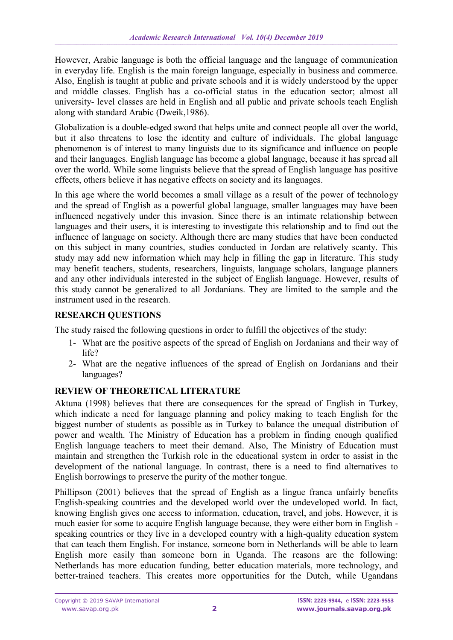However, Arabic language is both the official language and the language of communication in everyday life. English is the main foreign language, especially in business and commerce. Also, English is taught at public and private schools and it is widely understood by the upper and middle classes. English has a co-official status in the education sector; almost all university- level classes are held in English and all public and private schools teach English along with standard Arabic (Dweik,1986).

Globalization is a double-edged sword that helps unite and connect people all over the world, but it also threatens to lose the identity and culture of individuals. The global language phenomenon is of interest to many linguists due to its significance and influence on people and their languages. English language has become a global language, because it has spread all over the world. While some linguists believe that the spread of English language has positive effects, others believe it has negative effects on society and its languages.

In this age where the world becomes a small village as a result of the power of technology and the spread of English as a powerful global language, smaller languages may have been influenced negatively under this invasion. Since there is an intimate relationship between languages and their users, it is interesting to investigate this relationship and to find out the influence of language on society. Although there are many studies that have been conducted on this subject in many countries, studies conducted in Jordan are relatively scanty. This study may add new information which may help in filling the gap in literature. This study may benefit teachers, students, researchers, linguists, language scholars, language planners and any other individuals interested in the subject of English language. However, results of this study cannot be generalized to all Jordanians. They are limited to the sample and the instrument used in the research.

# **RESEARCH QUESTIONS**

The study raised the following questions in order to fulfill the objectives of the study:

- 1- What are the positive aspects of the spread of English on Jordanians and their way of life?
- 2- What are the negative influences of the spread of English on Jordanians and their languages?

# **REVIEW OF THEORETICAL LITERATURE**

Aktuna (1998) believes that there are consequences for the spread of English in Turkey, which indicate a need for language planning and policy making to teach English for the biggest number of students as possible as in Turkey to balance the unequal distribution of power and wealth. The Ministry of Education has a problem in finding enough qualified English language teachers to meet their demand. Also, The Ministry of Education must maintain and strengthen the Turkish role in the educational system in order to assist in the development of the national language. In contrast, there is a need to find alternatives to English borrowings to preserve the purity of the mother tongue.

Phillipson (2001) believes that the spread of English as a lingue franca unfairly benefits English-speaking countries and the developed world over the undeveloped world. In fact, knowing English gives one access to information, education, travel, and jobs. However, it is much easier for some to acquire English language because, they were either born in English speaking countries or they live in a developed country with a high-quality education system that can teach them English. For instance, someone born in Netherlands will be able to learn English more easily than someone born in Uganda. The reasons are the following: Netherlands has more education funding, better education materials, more technology, and better-trained teachers. This creates more opportunities for the Dutch, while Ugandans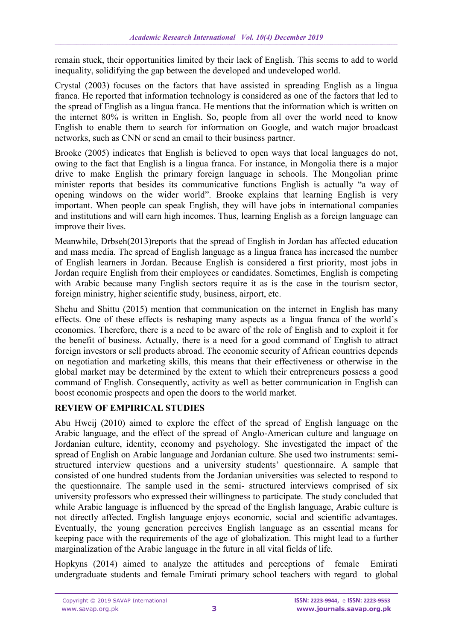remain stuck, their opportunities limited by their lack of English. This seems to add to world inequality, solidifying the gap between the developed and undeveloped world.

Crystal (2003) focuses on the factors that have assisted in spreading English as a lingua franca. He reported that information technology is considered as one of the factors that led to the spread of English as a lingua franca. He mentions that the information which is written on the internet 80% is written in English. So, people from all over the world need to know English to enable them to search for information on Google, and watch major broadcast networks, such as CNN or send an email to their business partner.

Brooke (2005) indicates that English is believed to open ways that local languages do not, owing to the fact that English is a lingua franca. For instance, in Mongolia there is a major drive to make English the primary foreign language in schools. The Mongolian prime minister reports that besides its communicative functions English is actually "a way of opening windows on the wider world". Brooke explains that learning English is very important. When people can speak English, they will have jobs in international companies and institutions and will earn high incomes. Thus, learning English as a foreign language can improve their lives.

Meanwhile, Drbseh(2013)reports that the spread of English in Jordan has affected education and mass media. The spread of English language as a lingua franca has increased the number of English learners in Jordan. Because English is considered a first priority, most jobs in Jordan require English from their employees or candidates. Sometimes, English is competing with Arabic because many English sectors require it as is the case in the tourism sector, foreign ministry, higher scientific study, business, airport, etc.

Shehu and Shittu (2015) mention that communication on the internet in English has many effects. One of these effects is reshaping many aspects as a lingua franca of the world's economies. Therefore, there is a need to be aware of the role of English and to exploit it for the benefit of business. Actually, there is a need for a good command of English to attract foreign investors or sell products abroad. The economic security of African countries depends on negotiation and marketing skills, this means that their effectiveness or otherwise in the global market may be determined by the extent to which their entrepreneurs possess a good command of English. Consequently, activity as well as better communication in English can boost economic prospects and open the doors to the world market.

# **REVIEW OF EMPIRICAL STUDIES**

Abu Hweij (2010) aimed to explore the effect of the spread of English language on the Arabic language, and the effect of the spread of Anglo-American culture and language on Jordanian culture, identity, economy and psychology. She investigated the impact of the spread of English on Arabic language and Jordanian culture. She used two instruments: semistructured interview questions and a university students' questionnaire. A sample that consisted of one hundred students from the Jordanian universities was selected to respond to the questionnaire. The sample used in the semi- structured interviews comprised of six university professors who expressed their willingness to participate. The study concluded that while Arabic language is influenced by the spread of the English language, Arabic culture is not directly affected. English language enjoys economic, social and scientific advantages. Eventually, the young generation perceives English language as an essential means for keeping pace with the requirements of the age of globalization. This might lead to a further marginalization of the Arabic language in the future in all vital fields of life.

Hopkyns (2014) aimed to analyze the attitudes and perceptions of female Emirati undergraduate students and female Emirati primary school teachers with regard to global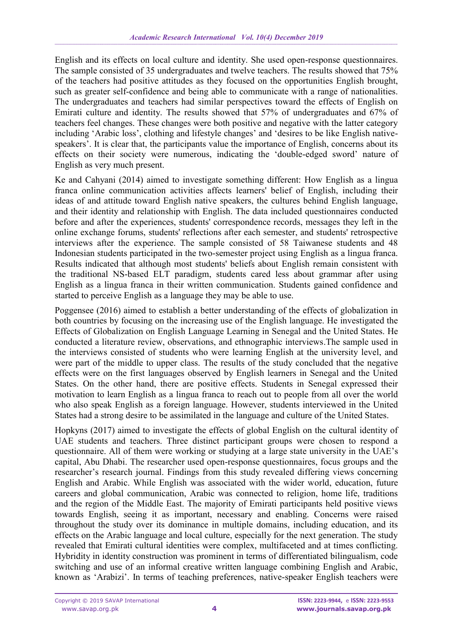English and its effects on local culture and identity. She used open-response questionnaires. The sample consisted of 35 undergraduates and twelve teachers. The results showed that 75% of the teachers had positive attitudes as they focused on the opportunities English brought, such as greater self-confidence and being able to communicate with a range of nationalities. The undergraduates and teachers had similar perspectives toward the effects of English on Emirati culture and identity. The results showed that 57% of undergraduates and 67% of teachers feel changes. These changes were both positive and negative with the latter category including 'Arabic loss', clothing and lifestyle changes' and 'desires to be like English nativespeakers'. It is clear that, the participants value the importance of English, concerns about its effects on their society were numerous, indicating the 'double-edged sword' nature of English as very much present.

Ke and Cahyani (2014) aimed to investigate something different: How English as a lingua franca online communication activities affects learners' belief of English, including their ideas of and attitude toward English native speakers, the cultures behind English language, and their identity and relationship with English. The data included questionnaires conducted before and after the experiences, students' correspondence records, messages they left in the online exchange forums, students' reflections after each semester, and students' retrospective interviews after the experience. The sample consisted of 58 Taiwanese students and 48 Indonesian students participated in the two-semester project using English as a lingua franca. Results indicated that although most students' beliefs about English remain consistent with the traditional NS-based ELT paradigm, students cared less about grammar after using English as a lingua franca in their written communication. Students gained confidence and started to perceive English as a language they may be able to use.

Poggensee (2016) aimed to establish a better understanding of the effects of globalization in both countries by focusing on the increasing use of the English language. He investigated the Effects of Globalization on English Language Learning in Senegal and the United States. He conducted a literature review, observations, and ethnographic interviews.The sample used in the interviews consisted of students who were learning English at the university level, and were part of the middle to upper class. The results of the study concluded that the negative effects were on the first languages observed by English learners in Senegal and the United States. On the other hand, there are positive effects. Students in Senegal expressed their motivation to learn English as a lingua franca to reach out to people from all over the world who also speak English as a foreign language. However, students interviewed in the United States had a strong desire to be assimilated in the language and culture of the United States.

Hopkyns (2017) aimed to investigate the effects of global English on the cultural identity of UAE students and teachers. Three distinct participant groups were chosen to respond a questionnaire. All of them were working or studying at a large state university in the UAE's capital, Abu Dhabi. The researcher used open-response questionnaires, focus groups and the researcher's research journal. Findings from this study revealed differing views concerning English and Arabic. While English was associated with the wider world, education, future careers and global communication, Arabic was connected to religion, home life, traditions and the region of the Middle East. The majority of Emirati participants held positive views towards English, seeing it as important, necessary and enabling. Concerns were raised throughout the study over its dominance in multiple domains, including education, and its effects on the Arabic language and local culture, especially for the next generation. The study revealed that Emirati cultural identities were complex, multifaceted and at times conflicting. Hybridity in identity construction was prominent in terms of differentiated bilingualism, code switching and use of an informal creative written language combining English and Arabic, known as 'Arabizi'. In terms of teaching preferences, native-speaker English teachers were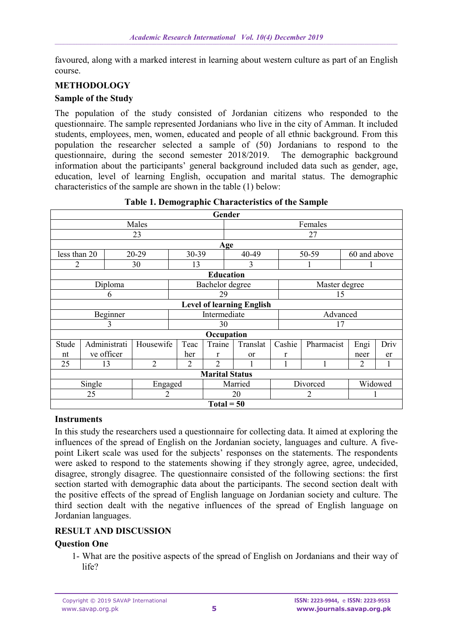favoured, along with a marked interest in learning about western culture as part of an English course.

## **METHODOLOGY**

#### **Sample of the Study**

The population of the study consisted of Jordanian citizens who responded to the questionnaire. The sample represented Jordanians who live in the city of Amman. It included students, employees, men, women, educated and people of all ethnic background. From this population the researcher selected a sample of (50) Jordanians to respond to the questionnaire, during the second semester 2018/2019. The demographic background information about the participants' general background included data such as gender, age, education, level of learning English, occupation and marital status. The demographic characteristics of the sample are shown in the table (1) below:

| Gender                           |                                      |                |                 |                |          |        |               |         |      |  |  |  |
|----------------------------------|--------------------------------------|----------------|-----------------|----------------|----------|--------|---------------|---------|------|--|--|--|
|                                  | Males                                | Females        |                 |                |          |        |               |         |      |  |  |  |
|                                  |                                      | 27             |                 |                |          |        |               |         |      |  |  |  |
| Age                              |                                      |                |                 |                |          |        |               |         |      |  |  |  |
| less than 20                     |                                      | 20-29          | 30-39           |                | 40-49    | 50-59  | 60 and above  |         |      |  |  |  |
| 2                                |                                      | 30             | 13              |                | 3        |        |               |         |      |  |  |  |
| <b>Education</b>                 |                                      |                |                 |                |          |        |               |         |      |  |  |  |
|                                  | Diploma                              |                | Bachelor degree |                |          |        | Master degree |         |      |  |  |  |
|                                  | 6                                    |                | 29              |                |          |        | 15            |         |      |  |  |  |
| <b>Level of learning English</b> |                                      |                |                 |                |          |        |               |         |      |  |  |  |
|                                  | Intermediate<br>Advanced<br>Beginner |                |                 |                |          |        |               |         |      |  |  |  |
|                                  | 3                                    |                |                 | 30             |          |        | 17            |         |      |  |  |  |
|                                  |                                      |                |                 | Occupation     |          |        |               |         |      |  |  |  |
| Stude                            | Administrati                         | Housewife      | Teac            | Traine         | Translat | Cashie | Pharmacist    | Engi    | Driv |  |  |  |
| nt                               | ve officer                           |                | her             | r              | or       | r      |               | neer    | er   |  |  |  |
| 25                               | 13                                   | $\overline{2}$ | $\overline{2}$  | $\overline{2}$ |          |        | 1             |         |      |  |  |  |
| <b>Marital Status</b>            |                                      |                |                 |                |          |        |               |         |      |  |  |  |
| Single<br>Engaged                |                                      |                |                 |                | Married  |        | Divorced      | Widowed |      |  |  |  |
|                                  | 25                                   |                | 20              |                |          | 2      |               |         |      |  |  |  |
| $Total = 50$                     |                                      |                |                 |                |          |        |               |         |      |  |  |  |

#### **Instruments**

In this study the researchers used a questionnaire for collecting data. It aimed at exploring the influences of the spread of English on the Jordanian society, languages and culture. A fivepoint Likert scale was used for the subjects' responses on the statements. The respondents were asked to respond to the statements showing if they strongly agree, agree, undecided, disagree, strongly disagree. The questionnaire consisted of the following sections: the first section started with demographic data about the participants. The second section dealt with the positive effects of the spread of English language on Jordanian society and culture. The third section dealt with the negative influences of the spread of English language on Jordanian languages.

## **RESULT AND DISCUSSION**

#### **Question One**

1- What are the positive aspects of the spread of English on Jordanians and their way of life?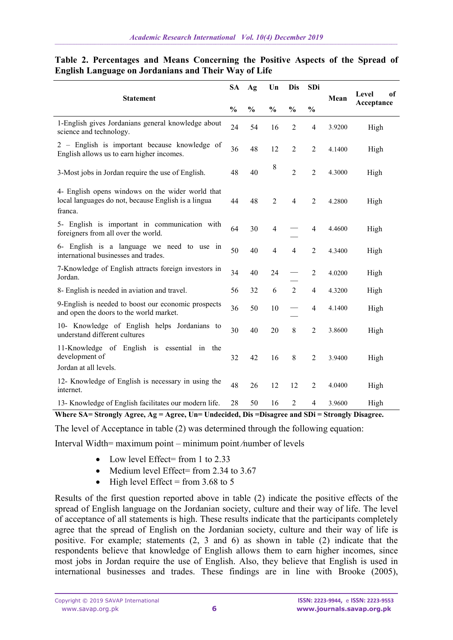| <b>Statement</b>                                                                                                   |    | Ag            | Un             | Dis            | SDi            |        | Level<br>of<br>Acceptance |  |
|--------------------------------------------------------------------------------------------------------------------|----|---------------|----------------|----------------|----------------|--------|---------------------------|--|
|                                                                                                                    |    | $\frac{0}{0}$ | $\frac{0}{0}$  | $\frac{0}{0}$  | $\frac{0}{0}$  | Mean   |                           |  |
| 1-English gives Jordanians general knowledge about<br>science and technology.                                      | 24 | 54            | 16             | 2              | $\overline{4}$ | 3.9200 | High                      |  |
| 2 – English is important because knowledge of<br>English allows us to earn higher incomes.                         | 36 | 48            | 12             | $\overline{2}$ | $\overline{2}$ | 4.1400 | High                      |  |
| 3-Most jobs in Jordan require the use of English.                                                                  |    | 40            | 8              | $\overline{2}$ | $\overline{2}$ | 4.3000 | High                      |  |
| 4- English opens windows on the wider world that<br>local languages do not, because English is a lingua<br>franca. |    | 48            | $\overline{2}$ | $\overline{4}$ | $\overline{2}$ | 4.2800 | High                      |  |
| 5- English is important in communication with<br>foreigners from all over the world.                               | 64 | 30            | 4              |                | $\overline{4}$ | 4.4600 | High                      |  |
| 6- English is a language we need to use in<br>international businesses and trades.                                 | 50 | 40            | $\overline{4}$ | $\overline{4}$ | $\overline{2}$ | 4.3400 | High                      |  |
| 7-Knowledge of English attracts foreign investors in<br>Jordan.                                                    | 34 | 40            | 24             |                | $\overline{2}$ | 4.0200 | High                      |  |
| 8- English is needed in aviation and travel.                                                                       | 56 | 32            | 6              | $\overline{2}$ | $\overline{4}$ | 4.3200 | High                      |  |
| 9-English is needed to boost our economic prospects<br>and open the doors to the world market.                     | 36 | 50            | 10             |                | $\overline{4}$ | 4.1400 | High                      |  |
| 10- Knowledge of English helps Jordanians to<br>understand different cultures                                      | 30 | 40            | 20             | 8              | $\overline{2}$ | 3.8600 | High                      |  |
| 11-Knowledge of English is essential in the<br>development of<br>Jordan at all levels.                             | 32 | 42            | 16             | 8              | $\overline{2}$ | 3.9400 | High                      |  |
| 12- Knowledge of English is necessary in using the<br>internet.                                                    | 48 | 26            | 12             | 12             | $\overline{2}$ | 4.0400 | High                      |  |
| 13- Knowledge of English facilitates our modern life.                                                              | 28 | 50            | 16             | 2              | 4              | 3.9600 | High                      |  |

## **Table 2. Percentages and Means Concerning the Positive Aspects of the Spread of English Language on Jordanians and Their Way of Life**

**Where SA= Strongly Agree, Ag = Agree, Un= Undecided, Dis =Disagree and SDi = Strongly Disagree.**

The level of Acceptance in table (2) was determined through the following equation:

Interval Width= maximum point – minimum point ∕number of levels

- $\bullet$  Low level Effect= from 1 to 2.33
- $\bullet$  Medium level Effect= from 2.34 to 3.67
- $\bullet$  High level Effect = from 3.68 to 5

Results of the first question reported above in table (2) indicate the positive effects of the spread of English language on the Jordanian society, culture and their way of life. The level of acceptance of all statements is high. These results indicate that the participants completely agree that the spread of English on the Jordanian society, culture and their way of life is positive. For example; statements (2, 3 and 6) as shown in table (2) indicate that the respondents believe that knowledge of English allows them to earn higher incomes, since most jobs in Jordan require the use of English. Also, they believe that English is used in international businesses and trades. These findings are in line with Brooke (2005),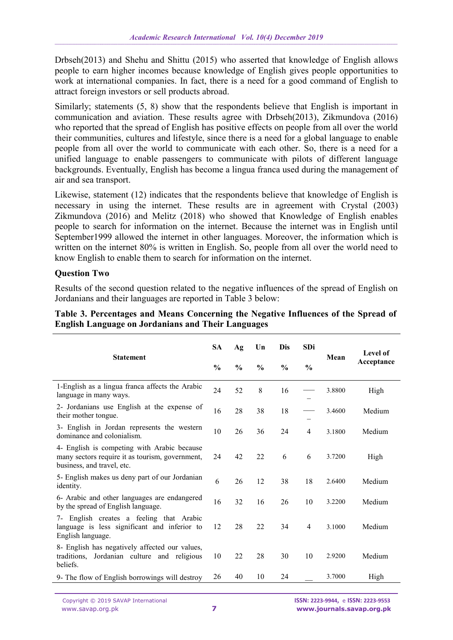Drbseh(2013) and Shehu and Shittu (2015) who asserted that knowledge of English allows people to earn higher incomes because knowledge of English gives people opportunities to work at international companies. In fact, there is a need for a good command of English to attract foreign investors or sell products abroad.

Similarly; statements (5, 8) show that the respondents believe that English is important in communication and aviation. These results agree with Drbseh(2013), Zikmundova (2016) who reported that the spread of English has positive effects on people from all over the world their communities, cultures and lifestyle, since there is a need for a global language to enable people from all over the world to communicate with each other. So, there is a need for a unified language to enable passengers to communicate with pilots of different language backgrounds. Eventually, English has become a lingua franca used during the management of air and sea transport.

Likewise, statement (12) indicates that the respondents believe that knowledge of English is necessary in using the internet. These results are in agreement with Crystal (2003) Zikmundova (2016) and Melitz (2018) who showed that Knowledge of English enables people to search for information on the internet. Because the internet was in English until September1999 allowed the internet in other languages. Moreover, the information which is written on the internet 80% is written in English. So, people from all over the world need to know English to enable them to search for information on the internet.

## **Question Two**

Results of the second question related to the negative influences of the spread of English on Jordanians and their languages are reported in Table 3 below:

| <b>Statement</b>                                                                                                             |    | Ag            | Un            | <b>Dis</b>    | SDi            | Mean   | Level of<br>Acceptance |  |
|------------------------------------------------------------------------------------------------------------------------------|----|---------------|---------------|---------------|----------------|--------|------------------------|--|
|                                                                                                                              |    | $\frac{0}{0}$ | $\frac{0}{0}$ | $\frac{0}{0}$ | $\frac{0}{0}$  |        |                        |  |
| 1-English as a lingua franca affects the Arabic<br>language in many ways.                                                    |    | 52            | 8             | 16            |                | 3.8800 | High                   |  |
| 2- Jordanians use English at the expense of<br>their mother tongue.                                                          |    | 28            | 38            | 18            |                | 3.4600 | Medium                 |  |
| 3- English in Jordan represents the western<br>dominance and colonialism.                                                    | 10 | 26            | 36            | 24            | $\overline{4}$ | 3.1800 | Medium                 |  |
| 4- English is competing with Arabic because<br>many sectors require it as tourism, government,<br>business, and travel, etc. |    | 42            | 22            | 6             | 6              | 3.7200 | High                   |  |
| 5- English makes us deny part of our Jordanian<br>identity.                                                                  | 6  | 26            | 12            | 38            | 18             | 2.6400 | Medium                 |  |
| 6- Arabic and other languages are endangered<br>by the spread of English language.                                           | 16 | 32            | 16            | 26            | 10             | 3.2200 | Medium                 |  |
| English creates a feeling that Arabic<br>7-<br>language is less significant and inferior to<br>English language.             | 12 | 28            | 22            | 34            | $\overline{4}$ | 3.1000 | Medium                 |  |
| 8- English has negatively affected our values,<br>Jordanian culture and religious<br>traditions.<br>beliefs.                 | 10 | 22            | 28            | 30            | 10             | 2.9200 | Medium                 |  |
| 9- The flow of English borrowings will destroy                                                                               | 26 | 40            | 10            | 24            |                | 3.7000 | High                   |  |

## **Table 3. Percentages and Means Concerning the Negative Influences of the Spread of English Language on Jordanians and Their Languages**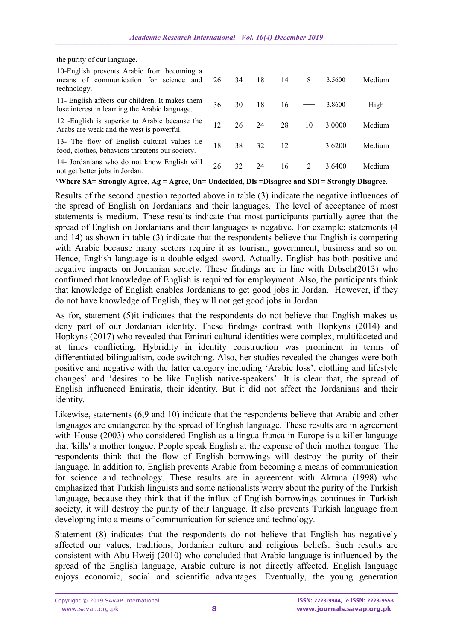| the purity of our language.                                                                            |    |    |    |    |                |        |        |  |
|--------------------------------------------------------------------------------------------------------|----|----|----|----|----------------|--------|--------|--|
| 10-English prevents Arabic from becoming a<br>means of communication for science<br>and<br>technology. | 26 | 34 | 18 | 14 | 8              | 3.5600 | Medium |  |
| 11- English affects our children. It makes them<br>lose interest in learning the Arabic language.      | 36 | 30 | 18 | 16 |                | 3.8600 | High   |  |
| 12 - English is superior to Arabic because the<br>Arabs are weak and the west is powerful.             | 12 | 26 | 24 | 28 | 10             | 3.0000 | Medium |  |
| 13- The flow of English cultural values i.e.<br>food, clothes, behaviors threatens our society.        | 18 | 38 | 32 | 12 |                | 3.6200 | Medium |  |
| 14- Jordanians who do not know English will<br>not get better jobs in Jordan.                          | 26 | 32 | 24 | 16 | $\mathfrak{D}$ | 3.6400 | Medium |  |

**\*Where SA= Strongly Agree, Ag = Agree, Un= Undecided, Dis =Disagree and SDi = Strongly Disagree.**

Results of the second question reported above in table (3) indicate the negative influences of the spread of English on Jordanians and their languages. The level of acceptance of most statements is medium. These results indicate that most participants partially agree that the spread of English on Jordanians and their languages is negative. For example; statements (4 and 14) as shown in table (3) indicate that the respondents believe that English is competing with Arabic because many sectors require it as tourism, government, business and so on. Hence, English language is a double-edged sword. Actually, English has both positive and negative impacts on Jordanian society. These findings are in line with Drbseh(2013) who confirmed that knowledge of English is required for employment. Also, the participants think that knowledge of English enables Jordanians to get good jobs in Jordan. However, if they do not have knowledge of English, they will not get good jobs in Jordan.

As for, statement (5)it indicates that the respondents do not believe that English makes us deny part of our Jordanian identity. These findings contrast with Hopkyns (2014) and Hopkyns (2017) who revealed that Emirati cultural identities were complex, multifaceted and at times conflicting. Hybridity in identity construction was prominent in terms of differentiated bilingualism, code switching. Also, her studies revealed the changes were both positive and negative with the latter category including 'Arabic loss', clothing and lifestyle changes' and 'desires to be like English native-speakers'. It is clear that, the spread of English influenced Emiratis, their identity. But it did not affect the Jordanians and their identity.

Likewise, statements (6,9 and 10) indicate that the respondents believe that Arabic and other languages are endangered by the spread of English language. These results are in agreement with House (2003) who considered English as a lingua franca in Europe is a killer language that 'kills' a mother tongue. People speak English at the expense of their mother tongue. The respondents think that the flow of English borrowings will destroy the purity of their language. In addition to, English prevents Arabic from becoming a means of communication for science and technology. These results are in agreement with Aktuna (1998) who emphasized that Turkish linguists and some nationalists worry about the purity of the Turkish language, because they think that if the influx of English borrowings continues in Turkish society, it will destroy the purity of their language. It also prevents Turkish language from developing into a means of communication for science and technology.

Statement (8) indicates that the respondents do not believe that English has negatively affected our values, traditions, Jordanian culture and religious beliefs. Such results are consistent with Abu Hweij (2010) who concluded that Arabic language is influenced by the spread of the English language, Arabic culture is not directly affected. English language enjoys economic, social and scientific advantages. Eventually, the young generation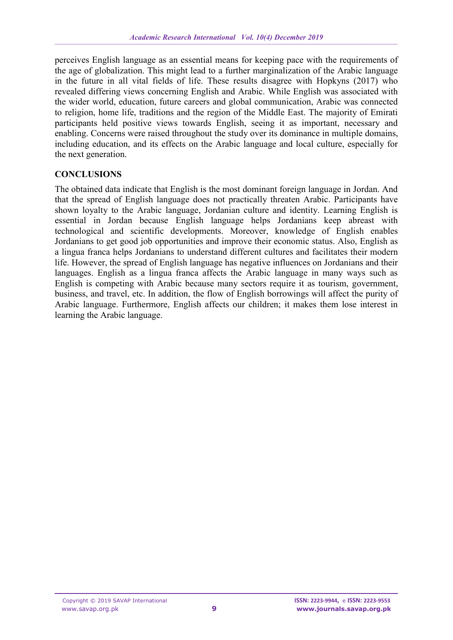perceives English language as an essential means for keeping pace with the requirements of the age of globalization. This might lead to a further marginalization of the Arabic language in the future in all vital fields of life. These results disagree with Hopkyns (2017) who revealed differing views concerning English and Arabic. While English was associated with the wider world, education, future careers and global communication, Arabic was connected to religion, home life, traditions and the region of the Middle East. The majority of Emirati participants held positive views towards English, seeing it as important, necessary and enabling. Concerns were raised throughout the study over its dominance in multiple domains, including education, and its effects on the Arabic language and local culture, especially for the next generation.

## **CONCLUSIONS**

The obtained data indicate that English is the most dominant foreign language in Jordan. And that the spread of English language does not practically threaten Arabic. Participants have shown loyalty to the Arabic language, Jordanian culture and identity. Learning English is essential in Jordan because English language helps Jordanians keep abreast with technological and scientific developments. Moreover, knowledge of English enables Jordanians to get good job opportunities and improve their economic status. Also, English as a lingua franca helps Jordanians to understand different cultures and facilitates their modern life. However, the spread of English language has negative influences on Jordanians and their languages. English as a lingua franca affects the Arabic language in many ways such as English is competing with Arabic because many sectors require it as tourism, government, business, and travel, etc. In addition, the flow of English borrowings will affect the purity of Arabic language. Furthermore, English affects our children; it makes them lose interest in learning the Arabic language.